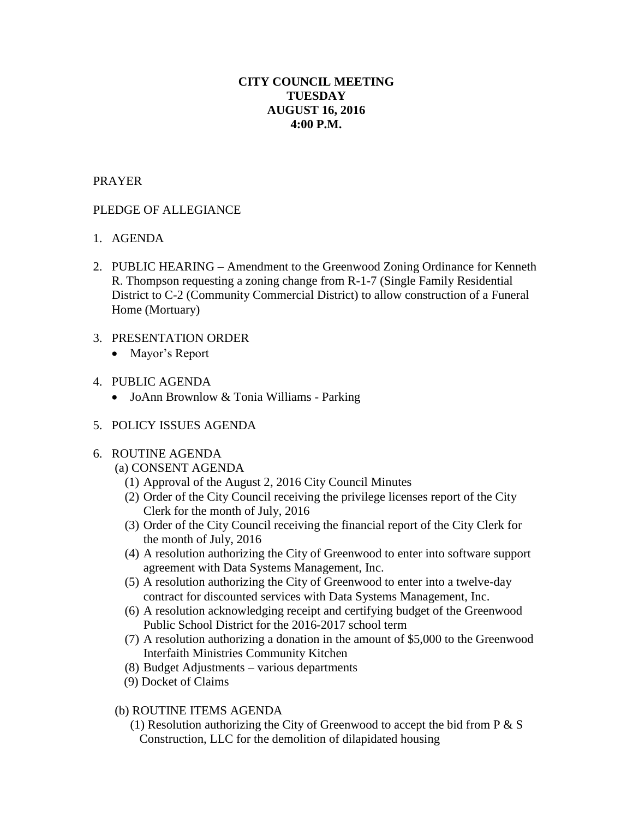## **CITY COUNCIL MEETING TUESDAY AUGUST 16, 2016 4:00 P.M.**

### PRAYER

# PLEDGE OF ALLEGIANCE

- 1. AGENDA
- 2. PUBLIC HEARING Amendment to the Greenwood Zoning Ordinance for Kenneth R. Thompson requesting a zoning change from R-1-7 (Single Family Residential District to C-2 (Community Commercial District) to allow construction of a Funeral Home (Mortuary)
- 3. PRESENTATION ORDER
	- Mayor's Report
- 4. PUBLIC AGENDA
	- JoAnn Brownlow & Tonia Williams Parking
- 5. POLICY ISSUES AGENDA

## 6. ROUTINE AGENDA

- (a) CONSENT AGENDA
	- (1) Approval of the August 2, 2016 City Council Minutes
	- (2) Order of the City Council receiving the privilege licenses report of the City Clerk for the month of July, 2016
	- (3) Order of the City Council receiving the financial report of the City Clerk for the month of July, 2016
	- (4) A resolution authorizing the City of Greenwood to enter into software support agreement with Data Systems Management, Inc.
	- (5) A resolution authorizing the City of Greenwood to enter into a twelve-day contract for discounted services with Data Systems Management, Inc.
	- (6) A resolution acknowledging receipt and certifying budget of the Greenwood Public School District for the 2016-2017 school term
	- (7) A resolution authorizing a donation in the amount of \$5,000 to the Greenwood Interfaith Ministries Community Kitchen
	- (8) Budget Adjustments various departments
	- (9) Docket of Claims

## (b) ROUTINE ITEMS AGENDA

(1) Resolution authorizing the City of Greenwood to accept the bid from  $P \& S$ Construction, LLC for the demolition of dilapidated housing